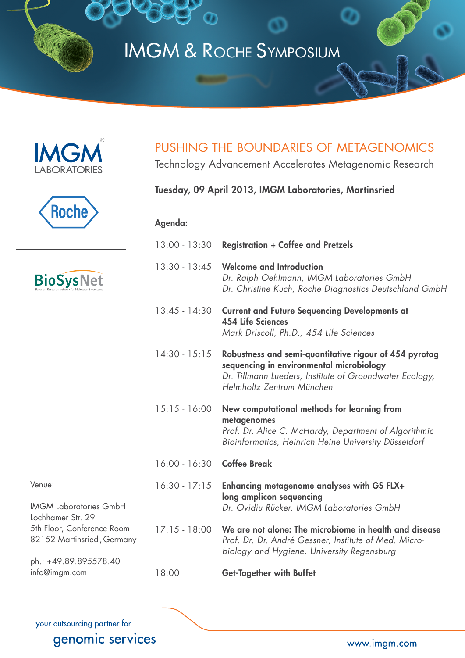# IMGM & Roche Symposium







# PUSHING THE BOUNDARIES OF METAGENOMICS

Technology Advancement Accelerates Metagenomic Research

# Tuesday, 09 April 2013, IMGM Laboratories, Martinsried

### Agenda:

|                                                                                   | $13:00 - 13:30$            | <b>Registration + Coffee and Pretzels</b>                                                                                                                                                  |
|-----------------------------------------------------------------------------------|----------------------------|--------------------------------------------------------------------------------------------------------------------------------------------------------------------------------------------|
| <b>BioSysNet</b>                                                                  | $13:30 - 13:45$            | <b>Welcome and Introduction</b><br>Dr. Ralph Oehlmann, IMGM Laboratories GmbH<br>Dr. Christine Kuch, Roche Diagnostics Deutschland GmbH                                                    |
|                                                                                   | $13:45 - 14:30$            | <b>Current and Future Sequencing Developments at</b><br><b>454 Life Sciences</b><br>Mark Driscoll, Ph.D., 454 Life Sciences                                                                |
|                                                                                   | $14:30 - 15:15$            | Robustness and semi-quantitative rigour of 454 pyrotag<br>sequencing in environmental microbiology<br>Dr. Tillmann Lueders, Institute of Groundwater Ecology,<br>Helmholtz Zentrum München |
|                                                                                   | $15:15 - 16:00$            | New computational methods for learning from<br>metagenomes<br>Prof. Dr. Alice C. McHardy, Department of Algorithmic<br>Bioinformatics, Heinrich Heine University Düsseldorf                |
|                                                                                   | 16:00 - 16:30 Coffee Break |                                                                                                                                                                                            |
| Venue:<br><b>IMGM Laboratories GmbH</b><br>Lochhamer Str. 29                      | $16:30 - 17:15$            | Enhancing metagenome analyses with GS FLX+<br>long amplicon sequencing<br>Dr. Ovidiu Rücker, IMGM Laboratories GmbH                                                                        |
| 5th Floor, Conference Room<br>82152 Martinsried, Germany<br>ph.: +49.89.895578.40 | $17:15 - 18:00$            | We are not alone: The microbiome in health and disease<br>Prof. Dr. Dr. André Gessner, Institute of Med. Micro-<br>biology and Hygiene, University Regensburg                              |
| info@imgm.com                                                                     | 18:00                      | <b>Get-Together with Buffet</b>                                                                                                                                                            |

your outsourcing partner for genomic services

www.imgm.com